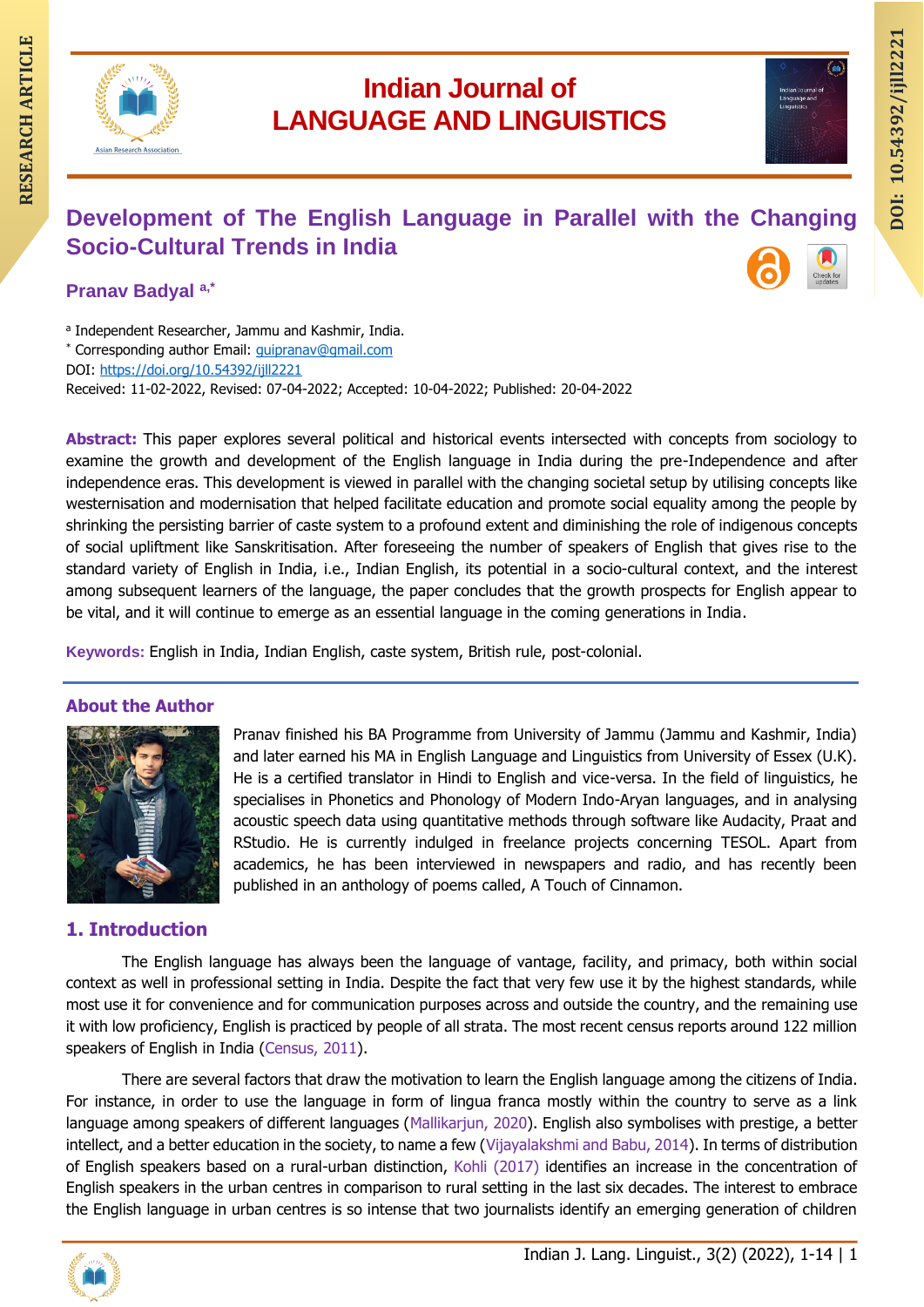

# **Development of The English Language in Parallel with the Changing Socio-Cultural Trends in India**

**Pranav Badyal a,\***

a Independent Researcher, Jammu and Kashmir, India.

\* Corresponding author Email: [guipranav@gmail.com](mailto:guipranav@gmail.com)

DOI:<https://doi.org/10.54392/ijll2221>

Received: 11-02-2022, Revised: 07-04-2022; Accepted: 10-04-2022; Published: 20-04-2022

**Abstract:** This paper explores several political and historical events intersected with concepts from sociology to examine the growth and development of the English language in India during the pre-Independence and after independence eras. This development is viewed in parallel with the changing societal setup by utilising concepts like westernisation and modernisation that helped facilitate education and promote social equality among the people by shrinking the persisting barrier of caste system to a profound extent and diminishing the role of indigenous concepts of social upliftment like Sanskritisation. After foreseeing the number of speakers of English that gives rise to the standard variety of English in India, i.e., Indian English, its potential in a socio-cultural context, and the interest among subsequent learners of the language, the paper concludes that the growth prospects for English appear to be vital, and it will continue to emerge as an essential language in the coming generations in India.

**Keywords:** English in India, Indian English, caste system, British rule, post-colonial.

# **About the Author**



Pranav finished his BA Programme from University of Jammu (Jammu and Kashmir, India) and later earned his MA in English Language and Linguistics from University of Essex (U.K). He is a certified translator in Hindi to English and vice-versa. In the field of linguistics, he specialises in Phonetics and Phonology of Modern Indo-Aryan languages, and in analysing acoustic speech data using quantitative methods through software like Audacity, Praat and RStudio. He is currently indulged in freelance projects concerning TESOL. Apart from academics, he has been interviewed in newspapers and radio, and has recently been published in an anthology of poems called, A Touch of Cinnamon.

# **1. Introduction**

The English language has always been the language of vantage, facility, and primacy, both within social context as well in professional setting in India. Despite the fact that very few use it by the highest standards, while most use it for convenience and for communication purposes across and outside the country, and the remaining use it with low proficiency, English is practiced by people of all strata. The most recent census reports around 122 million speakers of English in India (Census, 2011).

There are several factors that draw the motivation to learn the English language among the citizens of India. For instance, in order to use the language in form of lingua franca mostly within the country to serve as a link language among speakers of different languages (Mallikarjun, 2020). English also symbolises with prestige, a better intellect, and a better education in the society, to name a few (Vijayalakshmi and Babu, 2014). In terms of distribution of English speakers based on a rural-urban distinction, Kohli (2017) identifies an increase in the concentration of English speakers in the urban centres in comparison to rural setting in the last six decades. The interest to embrace the English language in urban centres is so intense that two journalists identify an emerging generation of children

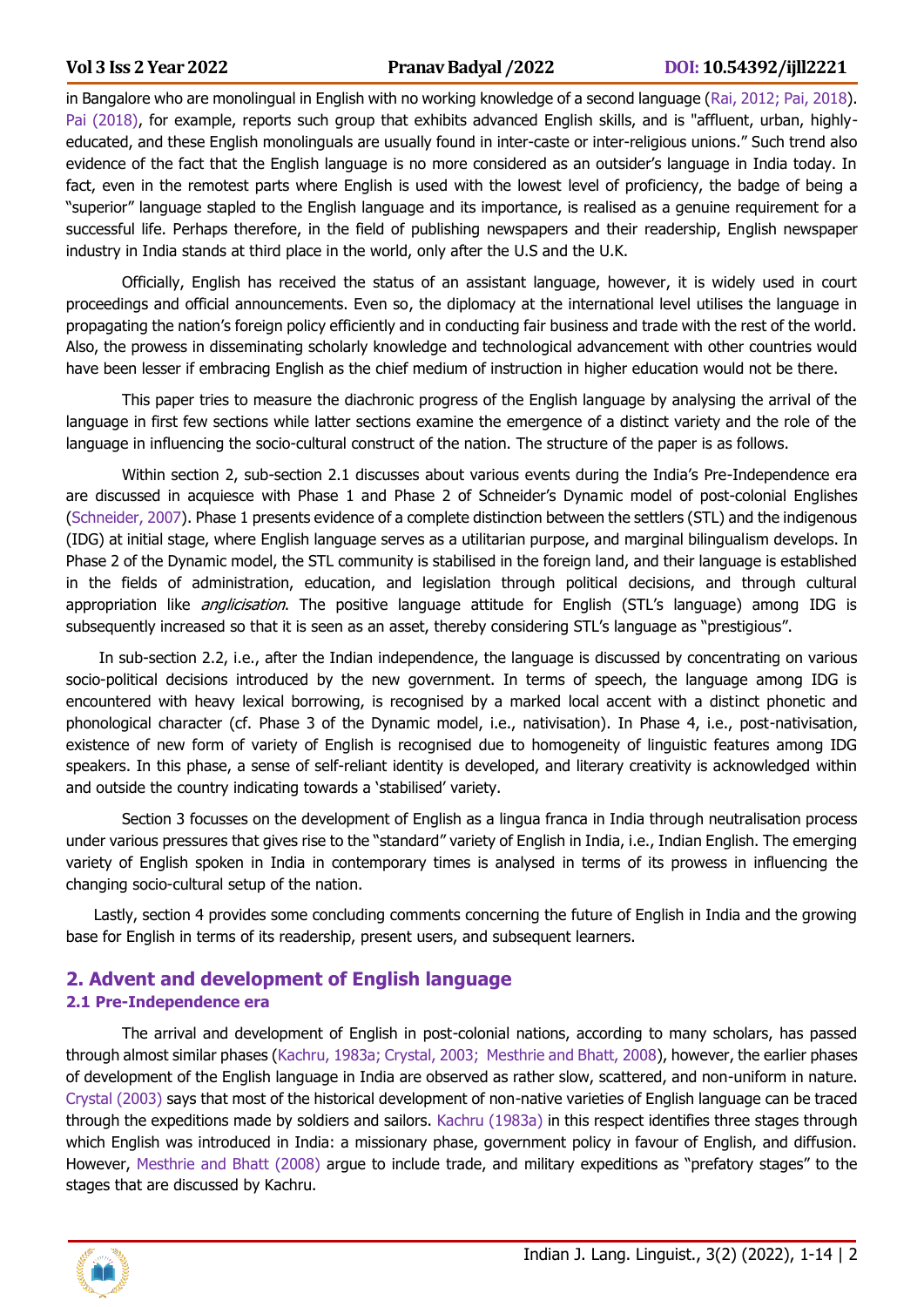in Bangalore who are monolingual in English with no working knowledge of a second language (Rai, 2012; Pai, 2018). Pai (2018), for example, reports such group that exhibits advanced English skills, and is "affluent, urban, highlyeducated, and these English monolinguals are usually found in inter-caste or inter-religious unions." Such trend also evidence of the fact that the English language is no more considered as an outsider's language in India today. In fact, even in the remotest parts where English is used with the lowest level of proficiency, the badge of being a "superior" language stapled to the English language and its importance, is realised as a genuine requirement for a successful life. Perhaps therefore, in the field of publishing newspapers and their readership, English newspaper industry in India stands at third place in the world, only after the U.S and the U.K.

Officially, English has received the status of an assistant language, however, it is widely used in court proceedings and official announcements. Even so, the diplomacy at the international level utilises the language in propagating the nation's foreign policy efficiently and in conducting fair business and trade with the rest of the world. Also, the prowess in disseminating scholarly knowledge and technological advancement with other countries would have been lesser if embracing English as the chief medium of instruction in higher education would not be there.

This paper tries to measure the diachronic progress of the English language by analysing the arrival of the language in first few sections while latter sections examine the emergence of a distinct variety and the role of the language in influencing the socio-cultural construct of the nation. The structure of the paper is as follows.

Within section 2, sub-section 2.1 discusses about various events during the India's Pre-Independence era are discussed in acquiesce with Phase 1 and Phase 2 of Schneider's Dynamic model of post-colonial Englishes (Schneider, 2007). Phase 1 presents evidence of a complete distinction between the settlers (STL) and the indigenous (IDG) at initial stage, where English language serves as a utilitarian purpose, and marginal bilingualism develops. In Phase 2 of the Dynamic model, the STL community is stabilised in the foreign land, and their language is established in the fields of administration, education, and legislation through political decisions, and through cultural appropriation like *anglicisation*. The positive language attitude for English (STL's language) among IDG is subsequently increased so that it is seen as an asset, thereby considering STL's language as "prestigious".

In sub-section 2.2, i.e., after the Indian independence, the language is discussed by concentrating on various socio-political decisions introduced by the new government. In terms of speech, the language among IDG is encountered with heavy lexical borrowing, is recognised by a marked local accent with a distinct phonetic and phonological character (cf. Phase 3 of the Dynamic model, i.e., nativisation). In Phase 4, i.e., post-nativisation, existence of new form of variety of English is recognised due to homogeneity of linguistic features among IDG speakers. In this phase, a sense of self-reliant identity is developed, and literary creativity is acknowledged within and outside the country indicating towards a 'stabilised' variety.

Section 3 focusses on the development of English as a lingua franca in India through neutralisation process under various pressures that gives rise to the "standard" variety of English in India, i.e., Indian English. The emerging variety of English spoken in India in contemporary times is analysed in terms of its prowess in influencing the changing socio-cultural setup of the nation.

Lastly, section 4 provides some concluding comments concerning the future of English in India and the growing base for English in terms of its readership, present users, and subsequent learners.

#### **2. Advent and development of English language 2.1 Pre-Independence era**

The arrival and development of English in post-colonial nations, according to many scholars, has passed through almost similar phases (Kachru, 1983a; Crystal, 2003; Mesthrie and Bhatt, 2008), however, the earlier phases of development of the English language in India are observed as rather slow, scattered, and non-uniform in nature. Crystal (2003) says that most of the historical development of non-native varieties of English language can be traced through the expeditions made by soldiers and sailors. Kachru (1983a) in this respect identifies three stages through which English was introduced in India: a missionary phase, government policy in favour of English, and diffusion. However, Mesthrie and Bhatt (2008) argue to include trade, and military expeditions as "prefatory stages" to the stages that are discussed by Kachru.

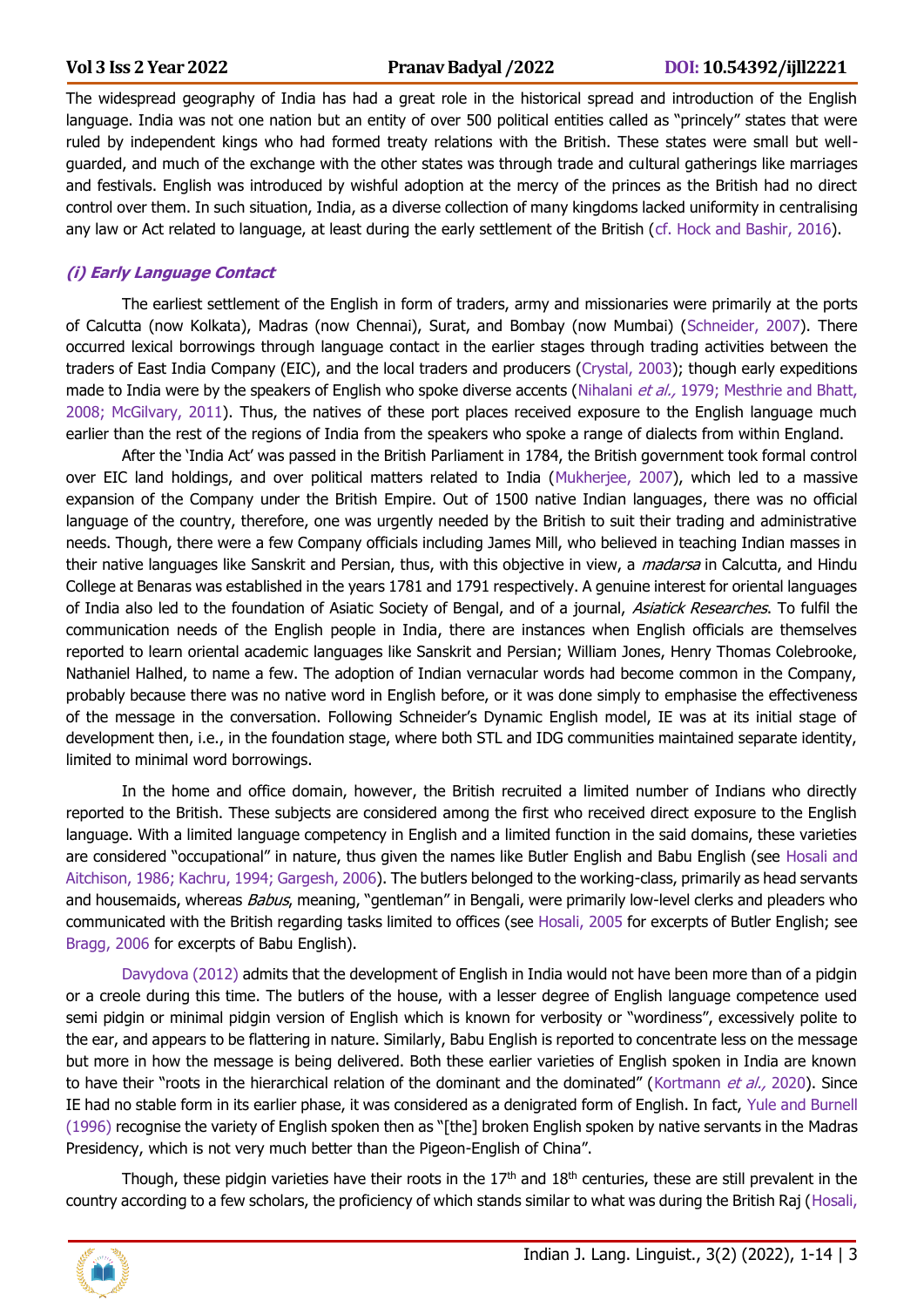The widespread geography of India has had a great role in the historical spread and introduction of the English language. India was not one nation but an entity of over 500 political entities called as "princely" states that were ruled by independent kings who had formed treaty relations with the British. These states were small but wellguarded, and much of the exchange with the other states was through trade and cultural gatherings like marriages and festivals. English was introduced by wishful adoption at the mercy of the princes as the British had no direct control over them. In such situation, India, as a diverse collection of many kingdoms lacked uniformity in centralising any law or Act related to language, at least during the early settlement of the British (cf. Hock and Bashir, 2016).

### **(i) Early Language Contact**

The earliest settlement of the English in form of traders, army and missionaries were primarily at the ports of Calcutta (now Kolkata), Madras (now Chennai), Surat, and Bombay (now Mumbai) (Schneider, 2007). There occurred lexical borrowings through language contact in the earlier stages through trading activities between the traders of East India Company (EIC), and the local traders and producers (Crystal, 2003); though early expeditions made to India were by the speakers of English who spoke diverse accents (Nihalani et al., 1979; Mesthrie and Bhatt, 2008; McGilvary, 2011). Thus, the natives of these port places received exposure to the English language much earlier than the rest of the regions of India from the speakers who spoke a range of dialects from within England.

After the 'India Act' was passed in the British Parliament in 1784, the British government took formal control over EIC land holdings, and over political matters related to India (Mukherjee, 2007), which led to a massive expansion of the Company under the British Empire. Out of 1500 native Indian languages, there was no official language of the country, therefore, one was urgently needed by the British to suit their trading and administrative needs. Though, there were a few Company officials including James Mill, who believed in teaching Indian masses in their native languages like Sanskrit and Persian, thus, with this objective in view, a madarsa in Calcutta, and Hindu College at Benaras was established in the years 1781 and 1791 respectively. A genuine interest for oriental languages of India also led to the foundation of Asiatic Society of Bengal, and of a journal, Asiatick Researches. To fulfil the communication needs of the English people in India, there are instances when English officials are themselves reported to learn oriental academic languages like Sanskrit and Persian; William Jones, Henry Thomas Colebrooke, Nathaniel Halhed, to name a few. The adoption of Indian vernacular words had become common in the Company, probably because there was no native word in English before, or it was done simply to emphasise the effectiveness of the message in the conversation. Following Schneider's Dynamic English model, IE was at its initial stage of development then, i.e., in the foundation stage, where both STL and IDG communities maintained separate identity, limited to minimal word borrowings.

In the home and office domain, however, the British recruited a limited number of Indians who directly reported to the British. These subjects are considered among the first who received direct exposure to the English language. With a limited language competency in English and a limited function in the said domains, these varieties are considered "occupational" in nature, thus given the names like Butler English and Babu English (see Hosali and Aitchison, 1986; Kachru, 1994; Gargesh, 2006). The butlers belonged to the working-class, primarily as head servants and housemaids, whereas Babus, meaning, "gentleman" in Bengali, were primarily low-level clerks and pleaders who communicated with the British regarding tasks limited to offices (see Hosali, 2005 for excerpts of Butler English; see Bragg, 2006 for excerpts of Babu English).

Davydova (2012) admits that the development of English in India would not have been more than of a pidgin or a creole during this time. The butlers of the house, with a lesser degree of English language competence used semi pidgin or minimal pidgin version of English which is known for verbosity or "wordiness", excessively polite to the ear, and appears to be flattering in nature. Similarly, Babu English is reported to concentrate less on the message but more in how the message is being delivered. Both these earlier varieties of English spoken in India are known to have their "roots in the hierarchical relation of the dominant and the dominated" (Kortmann et al., 2020). Since IE had no stable form in its earlier phase, it was considered as a denigrated form of English. In fact, Yule and Burnell (1996) recognise the variety of English spoken then as "[the] broken English spoken by native servants in the Madras Presidency, which is not very much better than the Pigeon-English of China".

Though, these pidgin varieties have their roots in the  $17<sup>th</sup>$  and  $18<sup>th</sup>$  centuries, these are still prevalent in the country according to a few scholars, the proficiency of which stands similar to what was during the British Raj (Hosali,

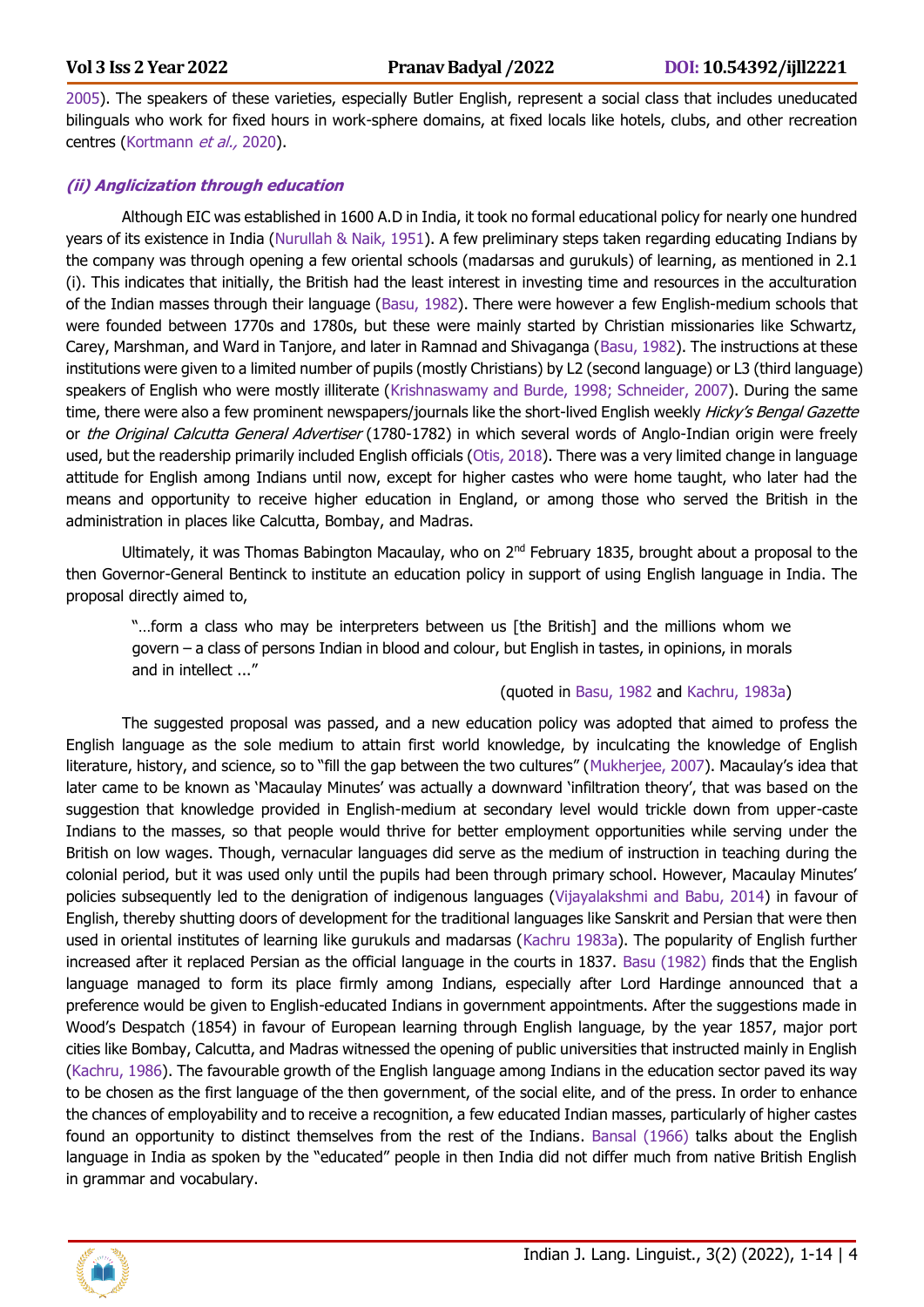2005). The speakers of these varieties, especially Butler English, represent a social class that includes uneducated bilinguals who work for fixed hours in work-sphere domains, at fixed locals like hotels, clubs, and other recreation centres (Kortmann et al., 2020).

### **(ii) Anglicization through education**

Although EIC was established in 1600 A.D in India, it took no formal educational policy for nearly one hundred years of its existence in India (Nurullah & Naik, 1951). A few preliminary steps taken regarding educating Indians by the company was through opening a few oriental schools (madarsas and gurukuls) of learning, as mentioned in 2.1 (i). This indicates that initially, the British had the least interest in investing time and resources in the acculturation of the Indian masses through their language (Basu, 1982). There were however a few English-medium schools that were founded between 1770s and 1780s, but these were mainly started by Christian missionaries like Schwartz, Carey, Marshman, and Ward in Tanjore, and later in Ramnad and Shivaganga (Basu, 1982). The instructions at these institutions were given to a limited number of pupils (mostly Christians) by L2 (second language) or L3 (third language) speakers of English who were mostly illiterate (Krishnaswamy and Burde, 1998; Schneider, 2007). During the same time, there were also a few prominent newspapers/journals like the short-lived English weekly Hicky's Bengal Gazette or the Original Calcutta General Advertiser (1780-1782) in which several words of Anglo-Indian origin were freely used, but the readership primarily included English officials (Otis, 2018). There was a very limited change in language attitude for English among Indians until now, except for higher castes who were home taught, who later had the means and opportunity to receive higher education in England, or among those who served the British in the administration in places like Calcutta, Bombay, and Madras.

Ultimately, it was Thomas Babington Macaulay, who on 2<sup>nd</sup> February 1835, brought about a proposal to the then Governor-General Bentinck to institute an education policy in support of using English language in India. The proposal directly aimed to,

"…form a class who may be interpreters between us [the British] and the millions whom we govern – a class of persons Indian in blood and colour, but English in tastes, in opinions, in morals and in intellect ..."

#### (quoted in Basu, 1982 and Kachru, 1983a)

The suggested proposal was passed, and a new education policy was adopted that aimed to profess the English language as the sole medium to attain first world knowledge, by inculcating the knowledge of English literature, history, and science, so to "fill the gap between the two cultures" (Mukherjee, 2007). Macaulay's idea that later came to be known as 'Macaulay Minutes' was actually a downward 'infiltration theory', that was based on the suggestion that knowledge provided in English-medium at secondary level would trickle down from upper-caste Indians to the masses, so that people would thrive for better employment opportunities while serving under the British on low wages. Though, vernacular languages did serve as the medium of instruction in teaching during the colonial period, but it was used only until the pupils had been through primary school. However, Macaulay Minutes' policies subsequently led to the denigration of indigenous languages (Vijayalakshmi and Babu, 2014) in favour of English, thereby shutting doors of development for the traditional languages like Sanskrit and Persian that were then used in oriental institutes of learning like gurukuls and madarsas (Kachru 1983a). The popularity of English further increased after it replaced Persian as the official language in the courts in 1837. Basu (1982) finds that the English language managed to form its place firmly among Indians, especially after Lord Hardinge announced that a preference would be given to English-educated Indians in government appointments. After the suggestions made in Wood's Despatch (1854) in favour of European learning through English language, by the year 1857, major port cities like Bombay, Calcutta, and Madras witnessed the opening of public universities that instructed mainly in English (Kachru, 1986). The favourable growth of the English language among Indians in the education sector paved its way to be chosen as the first language of the then government, of the social elite, and of the press. In order to enhance the chances of employability and to receive a recognition, a few educated Indian masses, particularly of higher castes found an opportunity to distinct themselves from the rest of the Indians. Bansal (1966) talks about the English language in India as spoken by the "educated" people in then India did not differ much from native British English in grammar and vocabulary.

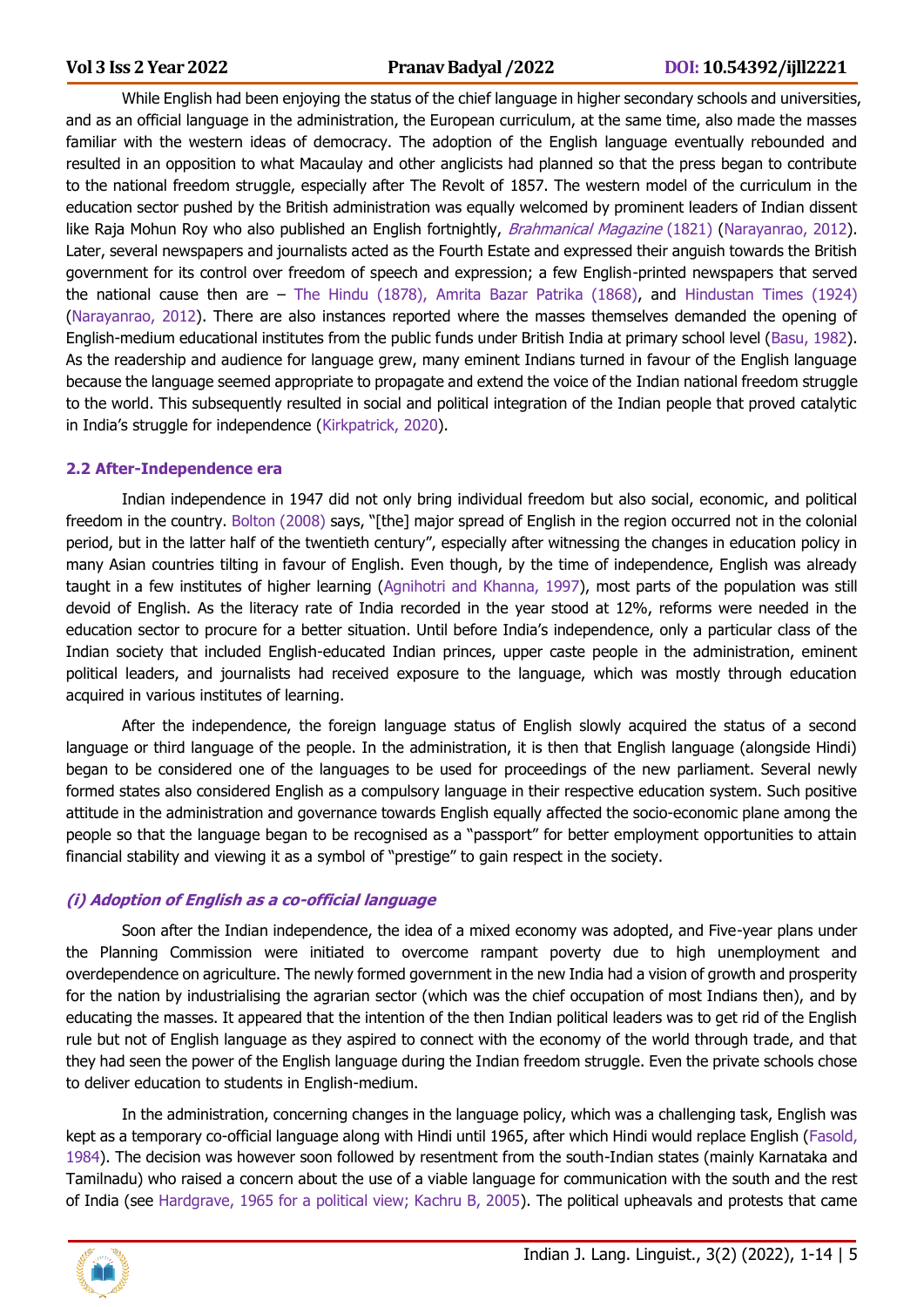While English had been enjoying the status of the chief language in higher secondary schools and universities, and as an official language in the administration, the European curriculum, at the same time, also made the masses familiar with the western ideas of democracy. The adoption of the English language eventually rebounded and resulted in an opposition to what Macaulay and other anglicists had planned so that the press began to contribute to the national freedom struggle, especially after The Revolt of 1857. The western model of the curriculum in the education sector pushed by the British administration was equally welcomed by prominent leaders of Indian dissent like Raja Mohun Roy who also published an English fortnightly, *Brahmanical Magazine* (1821) (Narayanrao, 2012). Later, several newspapers and journalists acted as the Fourth Estate and expressed their anguish towards the British government for its control over freedom of speech and expression; a few English-printed newspapers that served the national cause then are – The Hindu (1878), Amrita Bazar Patrika (1868), and Hindustan Times (1924) (Narayanrao, 2012). There are also instances reported where the masses themselves demanded the opening of English-medium educational institutes from the public funds under British India at primary school level (Basu, 1982). As the readership and audience for language grew, many eminent Indians turned in favour of the English language because the language seemed appropriate to propagate and extend the voice of the Indian national freedom struggle to the world. This subsequently resulted in social and political integration of the Indian people that proved catalytic in India's struggle for independence (Kirkpatrick, 2020).

#### **2.2 After-Independence era**

Indian independence in 1947 did not only bring individual freedom but also social, economic, and political freedom in the country. Bolton (2008) says, "[the] major spread of English in the region occurred not in the colonial period, but in the latter half of the twentieth century", especially after witnessing the changes in education policy in many Asian countries tilting in favour of English. Even though, by the time of independence, English was already taught in a few institutes of higher learning (Agnihotri and Khanna, 1997), most parts of the population was still devoid of English. As the literacy rate of India recorded in the year stood at 12%, reforms were needed in the education sector to procure for a better situation. Until before India's independence, only a particular class of the Indian society that included English-educated Indian princes, upper caste people in the administration, eminent political leaders, and journalists had received exposure to the language, which was mostly through education acquired in various institutes of learning.

After the independence, the foreign language status of English slowly acquired the status of a second language or third language of the people. In the administration, it is then that English language (alongside Hindi) began to be considered one of the languages to be used for proceedings of the new parliament. Several newly formed states also considered English as a compulsory language in their respective education system. Such positive attitude in the administration and governance towards English equally affected the socio-economic plane among the people so that the language began to be recognised as a "passport" for better employment opportunities to attain financial stability and viewing it as a symbol of "prestige" to gain respect in the society.

#### **(i) Adoption of English as a co-official language**

Soon after the Indian independence, the idea of a mixed economy was adopted, and Five-year plans under the Planning Commission were initiated to overcome rampant poverty due to high unemployment and overdependence on agriculture. The newly formed government in the new India had a vision of growth and prosperity for the nation by industrialising the agrarian sector (which was the chief occupation of most Indians then), and by educating the masses. It appeared that the intention of the then Indian political leaders was to get rid of the English rule but not of English language as they aspired to connect with the economy of the world through trade, and that they had seen the power of the English language during the Indian freedom struggle. Even the private schools chose to deliver education to students in English-medium.

In the administration, concerning changes in the language policy, which was a challenging task, English was kept as a temporary co-official language along with Hindi until 1965, after which Hindi would replace English (Fasold, 1984). The decision was however soon followed by resentment from the south-Indian states (mainly Karnataka and Tamilnadu) who raised a concern about the use of a viable language for communication with the south and the rest of India (see Hardgrave, 1965 for a political view; Kachru B, 2005). The political upheavals and protests that came

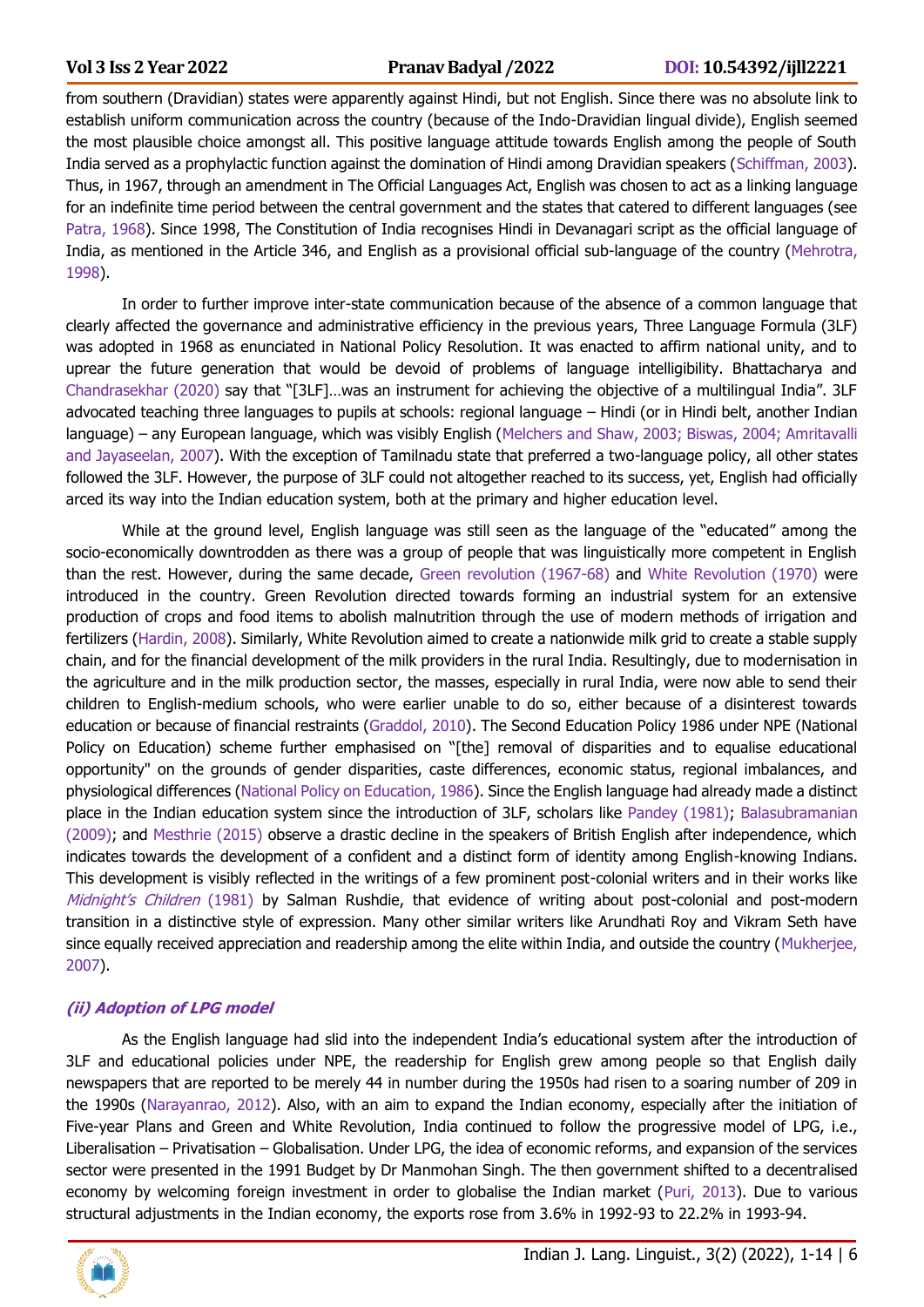from southern (Dravidian) states were apparently against Hindi, but not English. Since there was no absolute link to establish uniform communication across the country (because of the Indo-Dravidian lingual divide), English seemed the most plausible choice amongst all. This positive language attitude towards English among the people of South India served as a prophylactic function against the domination of Hindi among Dravidian speakers (Schiffman, 2003). Thus, in 1967, through an amendment in The Official Languages Act, English was chosen to act as a linking language for an indefinite time period between the central government and the states that catered to different languages (see Patra, 1968). Since 1998, The Constitution of India recognises Hindi in Devanagari script as the official language of India, as mentioned in the Article 346, and English as a provisional official sub-language of the country (Mehrotra, 1998).

In order to further improve inter-state communication because of the absence of a common language that clearly affected the governance and administrative efficiency in the previous years, Three Language Formula (3LF) was adopted in 1968 as enunciated in National Policy Resolution. It was enacted to affirm national unity, and to uprear the future generation that would be devoid of problems of language intelligibility. Bhattacharya and Chandrasekhar (2020) say that "[3LF]…was an instrument for achieving the objective of a multilingual India". 3LF advocated teaching three languages to pupils at schools: regional language – Hindi (or in Hindi belt, another Indian language) – any European language, which was visibly English (Melchers and Shaw, 2003; Biswas, 2004; Amritavalli and Jayaseelan, 2007). With the exception of Tamilnadu state that preferred a two-language policy, all other states followed the 3LF. However, the purpose of 3LF could not altogether reached to its success, yet, English had officially arced its way into the Indian education system, both at the primary and higher education level.

While at the ground level, English language was still seen as the language of the "educated" among the socio-economically downtrodden as there was a group of people that was linguistically more competent in English than the rest. However, during the same decade, Green revolution (1967-68) and White Revolution (1970) were introduced in the country. Green Revolution directed towards forming an industrial system for an extensive production of crops and food items to abolish malnutrition through the use of modern methods of irrigation and fertilizers (Hardin, 2008). Similarly, White Revolution aimed to create a nationwide milk grid to create a stable supply chain, and for the financial development of the milk providers in the rural India. Resultingly, due to modernisation in the agriculture and in the milk production sector, the masses, especially in rural India, were now able to send their children to English-medium schools, who were earlier unable to do so, either because of a disinterest towards education or because of financial restraints (Graddol, 2010). The Second Education Policy 1986 under NPE (National Policy on Education) scheme further emphasised on "[the] removal of disparities and to equalise educational opportunity" on the grounds of gender disparities, caste differences, economic status, regional imbalances, and physiological differences (National Policy on Education, 1986). Since the English language had already made a distinct place in the Indian education system since the introduction of 3LF, scholars like Pandey (1981); Balasubramanian (2009); and Mesthrie (2015) observe a drastic decline in the speakers of British English after independence, which indicates towards the development of a confident and a distinct form of identity among English-knowing Indians. This development is visibly reflected in the writings of a few prominent post-colonial writers and in their works like Midnight's Children (1981) by Salman Rushdie, that evidence of writing about post-colonial and post-modern transition in a distinctive style of expression. Many other similar writers like Arundhati Roy and Vikram Seth have since equally received appreciation and readership among the elite within India, and outside the country (Mukherjee, 2007).

# **(ii) Adoption of LPG model**

As the English language had slid into the independent India's educational system after the introduction of 3LF and educational policies under NPE, the readership for English grew among people so that English daily newspapers that are reported to be merely 44 in number during the 1950s had risen to a soaring number of 209 in the 1990s (Narayanrao, 2012). Also, with an aim to expand the Indian economy, especially after the initiation of Five-year Plans and Green and White Revolution, India continued to follow the progressive model of LPG, i.e., Liberalisation – Privatisation – Globalisation. Under LPG, the idea of economic reforms, and expansion of the services sector were presented in the 1991 Budget by Dr Manmohan Singh. The then government shifted to a decentralised economy by welcoming foreign investment in order to globalise the Indian market (Puri, 2013). Due to various structural adjustments in the Indian economy, the exports rose from 3.6% in 1992-93 to 22.2% in 1993-94.

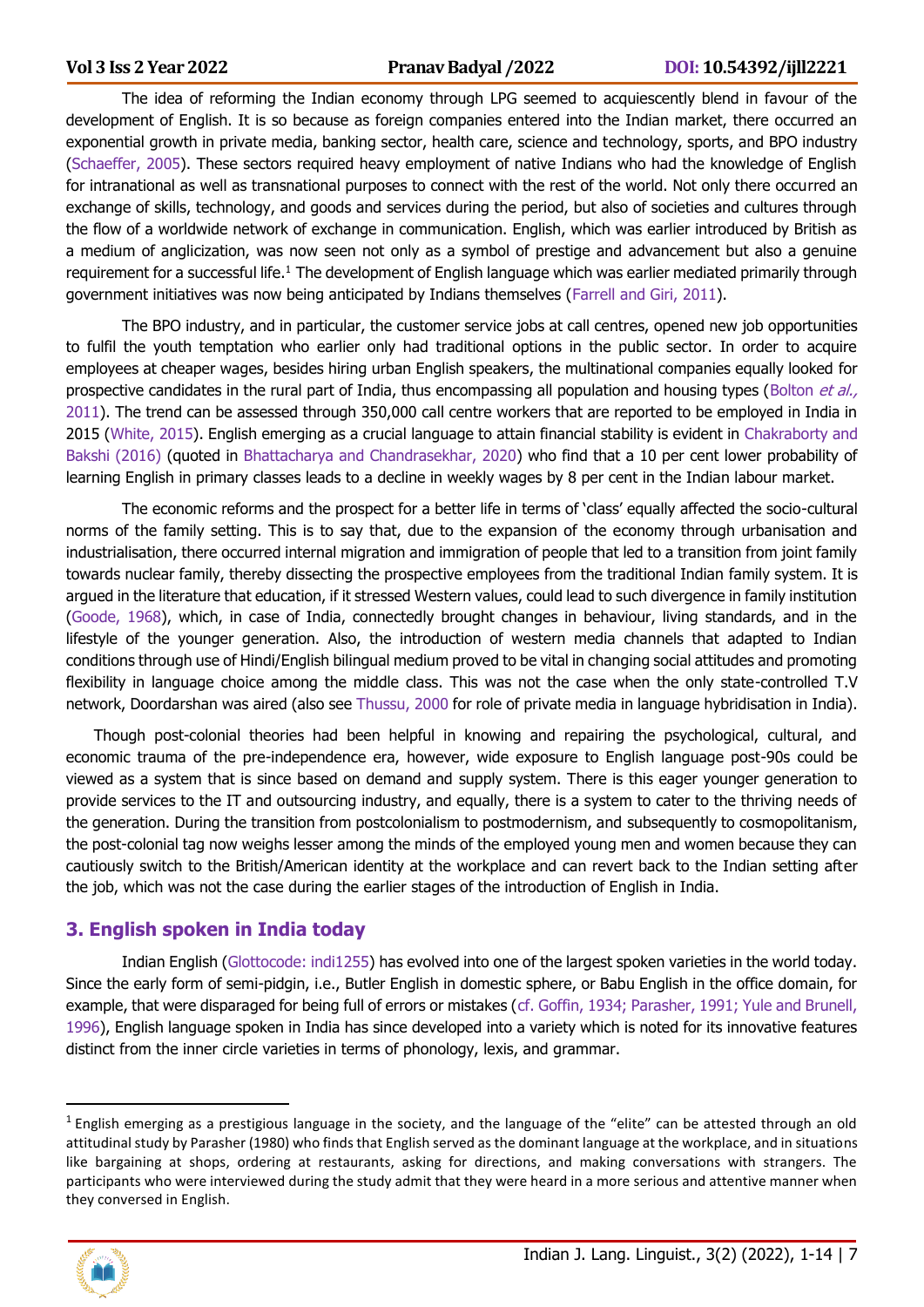The idea of reforming the Indian economy through LPG seemed to acquiescently blend in favour of the development of English. It is so because as foreign companies entered into the Indian market, there occurred an exponential growth in private media, banking sector, health care, science and technology, sports, and BPO industry (Schaeffer, 2005). These sectors required heavy employment of native Indians who had the knowledge of English for intranational as well as transnational purposes to connect with the rest of the world. Not only there occurred an exchange of skills, technology, and goods and services during the period, but also of societies and cultures through the flow of a worldwide network of exchange in communication. English, which was earlier introduced by British as a medium of anglicization, was now seen not only as a symbol of prestige and advancement but also a genuine requirement for a successful life.<sup>1</sup> The development of English language which was earlier mediated primarily through government initiatives was now being anticipated by Indians themselves (Farrell and Giri, 2011).

The BPO industry, and in particular, the customer service jobs at call centres, opened new job opportunities to fulfil the youth temptation who earlier only had traditional options in the public sector. In order to acquire employees at cheaper wages, besides hiring urban English speakers, the multinational companies equally looked for prospective candidates in the rural part of India, thus encompassing all population and housing types (Bolton et al., 2011). The trend can be assessed through 350,000 call centre workers that are reported to be employed in India in 2015 (White, 2015). English emerging as a crucial language to attain financial stability is evident in Chakraborty and Bakshi (2016) (quoted in Bhattacharya and Chandrasekhar, 2020) who find that a 10 per cent lower probability of learning English in primary classes leads to a decline in weekly wages by 8 per cent in the Indian labour market.

The economic reforms and the prospect for a better life in terms of 'class' equally affected the socio-cultural norms of the family setting. This is to say that, due to the expansion of the economy through urbanisation and industrialisation, there occurred internal migration and immigration of people that led to a transition from joint family towards nuclear family, thereby dissecting the prospective employees from the traditional Indian family system. It is argued in the literature that education, if it stressed Western values, could lead to such divergence in family institution (Goode, 1968), which, in case of India, connectedly brought changes in behaviour, living standards, and in the lifestyle of the younger generation. Also, the introduction of western media channels that adapted to Indian conditions through use of Hindi/English bilingual medium proved to be vital in changing social attitudes and promoting flexibility in language choice among the middle class. This was not the case when the only state-controlled T.V network, Doordarshan was aired (also see Thussu, 2000 for role of private media in language hybridisation in India).

Though post-colonial theories had been helpful in knowing and repairing the psychological, cultural, and economic trauma of the pre-independence era, however, wide exposure to English language post-90s could be viewed as a system that is since based on demand and supply system. There is this eager younger generation to provide services to the IT and outsourcing industry, and equally, there is a system to cater to the thriving needs of the generation. During the transition from postcolonialism to postmodernism, and subsequently to cosmopolitanism, the post-colonial tag now weighs lesser among the minds of the employed young men and women because they can cautiously switch to the British/American identity at the workplace and can revert back to the Indian setting after the job, which was not the case during the earlier stages of the introduction of English in India.

# **3. English spoken in India today**

Indian English (Glottocode: indi1255) has evolved into one of the largest spoken varieties in the world today. Since the early form of semi-pidgin, i.e., Butler English in domestic sphere, or Babu English in the office domain, for example, that were disparaged for being full of errors or mistakes (cf. Goffin, 1934; Parasher, 1991; Yule and Brunell, 1996), English language spoken in India has since developed into a variety which is noted for its innovative features distinct from the inner circle varieties in terms of phonology, lexis, and grammar.

 $1$  English emerging as a prestigious language in the society, and the language of the "elite" can be attested through an old attitudinal study by Parasher (1980) who finds that English served as the dominant language at the workplace, and in situations like bargaining at shops, ordering at restaurants, asking for directions, and making conversations with strangers. The participants who were interviewed during the study admit that they were heard in a more serious and attentive manner when they conversed in English.

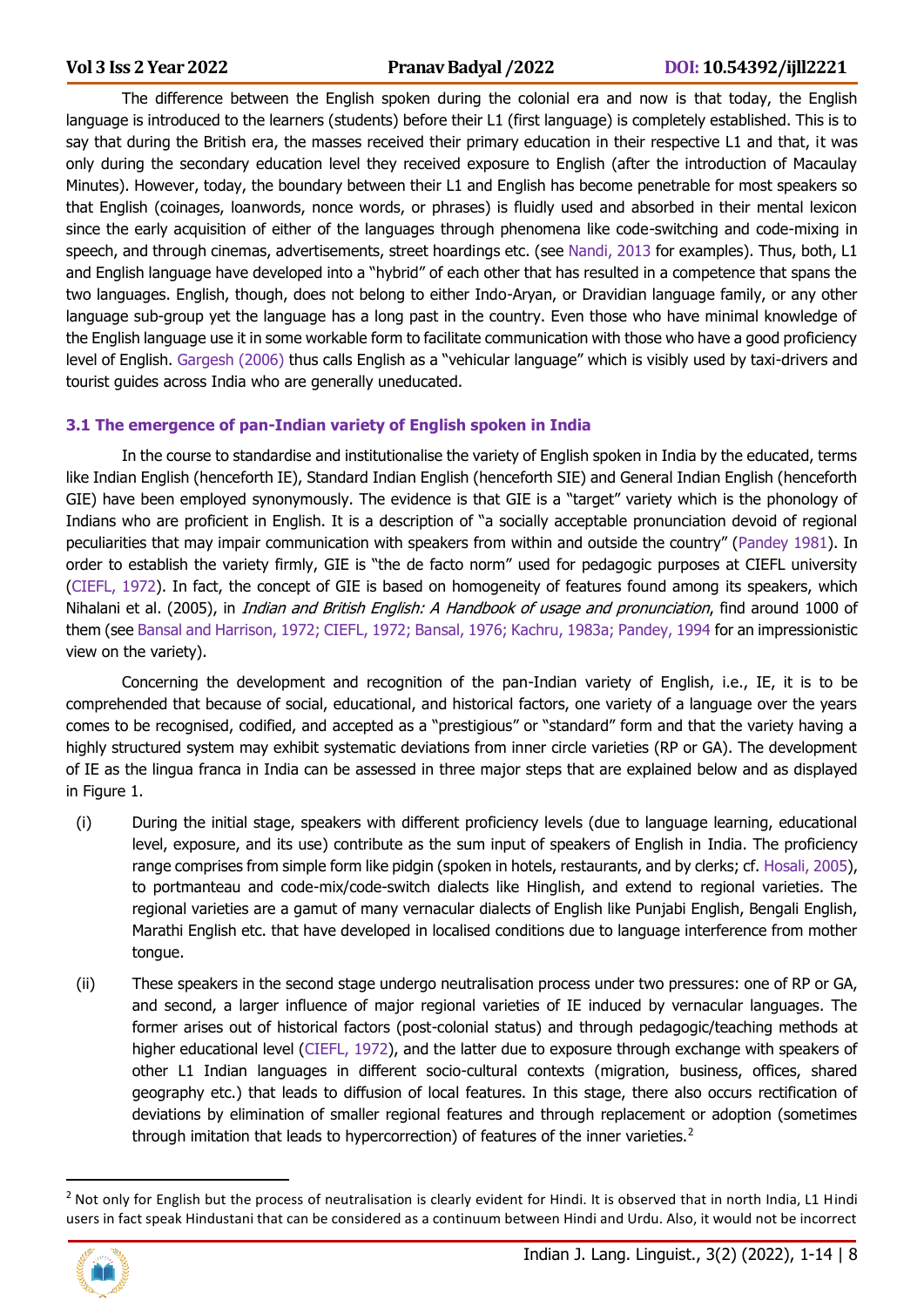The difference between the English spoken during the colonial era and now is that today, the English language is introduced to the learners (students) before their L1 (first language) is completely established. This is to say that during the British era, the masses received their primary education in their respective L1 and that, it was only during the secondary education level they received exposure to English (after the introduction of Macaulay Minutes). However, today, the boundary between their L1 and English has become penetrable for most speakers so that English (coinages, loanwords, nonce words, or phrases) is fluidly used and absorbed in their mental lexicon since the early acquisition of either of the languages through phenomena like code-switching and code-mixing in speech, and through cinemas, advertisements, street hoardings etc. (see Nandi, 2013 for examples). Thus, both, L1 and English language have developed into a "hybrid" of each other that has resulted in a competence that spans the two languages. English, though, does not belong to either Indo-Aryan, or Dravidian language family, or any other language sub-group yet the language has a long past in the country. Even those who have minimal knowledge of the English language use it in some workable form to facilitate communication with those who have a good proficiency level of English. Gargesh (2006) thus calls English as a "vehicular language" which is visibly used by taxi-drivers and tourist guides across India who are generally uneducated.

### **3.1 The emergence of pan-Indian variety of English spoken in India**

In the course to standardise and institutionalise the variety of English spoken in India by the educated, terms like Indian English (henceforth IE), Standard Indian English (henceforth SIE) and General Indian English (henceforth GIE) have been employed synonymously. The evidence is that GIE is a "target" variety which is the phonology of Indians who are proficient in English. It is a description of "a socially acceptable pronunciation devoid of regional peculiarities that may impair communication with speakers from within and outside the country" (Pandey 1981). In order to establish the variety firmly, GIE is "the de facto norm" used for pedagogic purposes at CIEFL university (CIEFL, 1972). In fact, the concept of GIE is based on homogeneity of features found among its speakers, which Nihalani et al. (2005), in *Indian and British English: A Handbook of usage and pronunciation*, find around 1000 of them (see Bansal and Harrison, 1972; CIEFL, 1972; Bansal, 1976; Kachru, 1983a; Pandey, 1994 for an impressionistic view on the variety).

Concerning the development and recognition of the pan-Indian variety of English, i.e., IE, it is to be comprehended that because of social, educational, and historical factors, one variety of a language over the years comes to be recognised, codified, and accepted as a "prestigious" or "standard" form and that the variety having a highly structured system may exhibit systematic deviations from inner circle varieties (RP or GA). The development of IE as the lingua franca in India can be assessed in three major steps that are explained below and as displayed in Figure 1.

- (i) During the initial stage, speakers with different proficiency levels (due to language learning, educational level, exposure, and its use) contribute as the sum input of speakers of English in India. The proficiency range comprises from simple form like pidgin (spoken in hotels, restaurants, and by clerks; cf. Hosali, 2005), to portmanteau and code-mix/code-switch dialects like Hinglish, and extend to regional varieties. The regional varieties are a gamut of many vernacular dialects of English like Punjabi English, Bengali English, Marathi English etc. that have developed in localised conditions due to language interference from mother tongue.
- (ii) These speakers in the second stage undergo neutralisation process under two pressures: one of RP or GA, and second, a larger influence of major regional varieties of IE induced by vernacular languages. The former arises out of historical factors (post-colonial status) and through pedagogic/teaching methods at higher educational level (CIEFL, 1972), and the latter due to exposure through exchange with speakers of other L1 Indian languages in different socio-cultural contexts (migration, business, offices, shared geography etc.) that leads to diffusion of local features. In this stage, there also occurs rectification of deviations by elimination of smaller regional features and through replacement or adoption (sometimes through imitation that leads to hypercorrection) of features of the inner varieties.<sup>2</sup>

 $<sup>2</sup>$  Not only for English but the process of neutralisation is clearly evident for Hindi. It is observed that in north India, L1 Hindi</sup> users in fact speak Hindustani that can be considered as a continuum between Hindi and Urdu. Also, it would not be incorrect

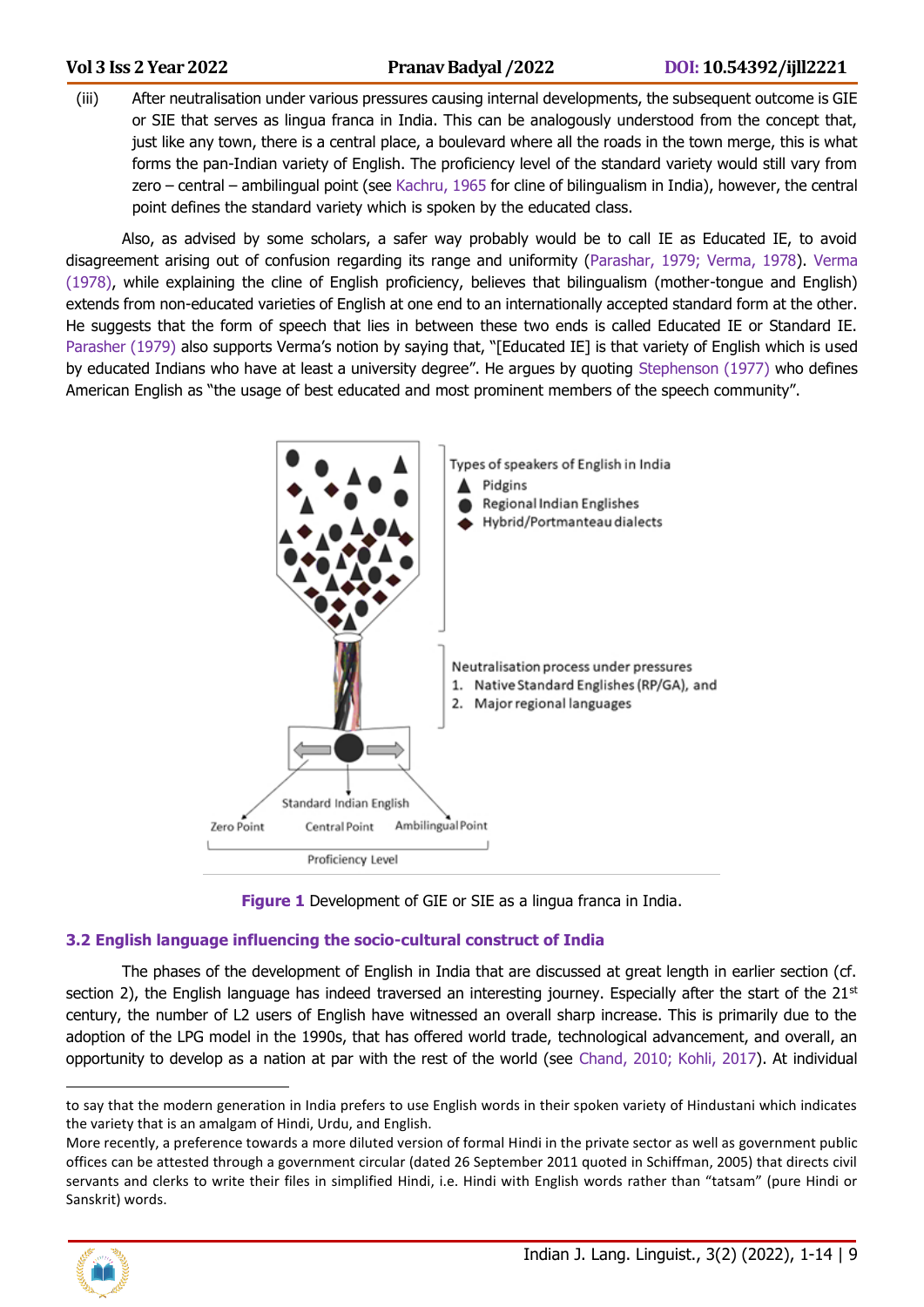(iii) After neutralisation under various pressures causing internal developments, the subsequent outcome is GIE or SIE that serves as lingua franca in India. This can be analogously understood from the concept that, just like any town, there is a central place, a boulevard where all the roads in the town merge, this is what forms the pan-Indian variety of English. The proficiency level of the standard variety would still vary from zero – central – ambilingual point (see Kachru, 1965 for cline of bilingualism in India), however, the central point defines the standard variety which is spoken by the educated class.

Also, as advised by some scholars, a safer way probably would be to call IE as Educated IE, to avoid disagreement arising out of confusion regarding its range and uniformity (Parashar, 1979; Verma, 1978). Verma (1978), while explaining the cline of English proficiency, believes that bilingualism (mother-tongue and English) extends from non-educated varieties of English at one end to an internationally accepted standard form at the other. He suggests that the form of speech that lies in between these two ends is called Educated IE or Standard IE. Parasher (1979) also supports Verma's notion by saying that, "[Educated IE] is that variety of English which is used by educated Indians who have at least a university degree". He argues by quoting Stephenson (1977) who defines American English as "the usage of best educated and most prominent members of the speech community".





# **3.2 English language influencing the socio-cultural construct of India**

The phases of the development of English in India that are discussed at great length in earlier section (cf. section 2), the English language has indeed traversed an interesting journey. Especially after the start of the  $21<sup>st</sup>$ century, the number of L2 users of English have witnessed an overall sharp increase. This is primarily due to the adoption of the LPG model in the 1990s, that has offered world trade, technological advancement, and overall, an opportunity to develop as a nation at par with the rest of the world (see Chand, 2010; Kohli, 2017). At individual

More recently, a preference towards a more diluted version of formal Hindi in the private sector as well as government public offices can be attested through a government circular (dated 26 September 2011 quoted in Schiffman, 2005) that directs civil servants and clerks to write their files in simplified Hindi, i.e. Hindi with English words rather than "tatsam" (pure Hindi or Sanskrit) words.



to say that the modern generation in India prefers to use English words in their spoken variety of Hindustani which indicates the variety that is an amalgam of Hindi, Urdu, and English.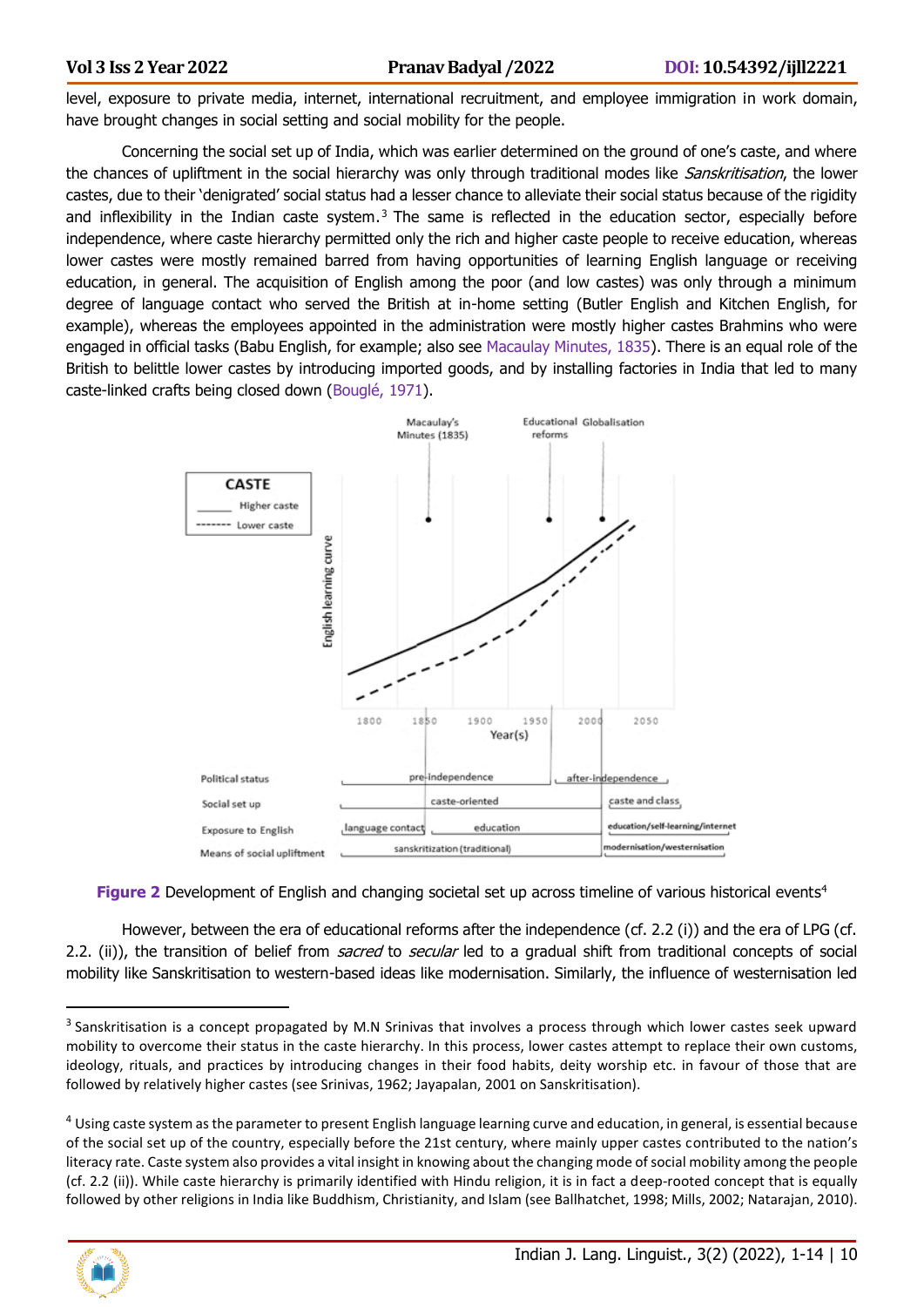level, exposure to private media, internet, international recruitment, and employee immigration in work domain, have brought changes in social setting and social mobility for the people.

Concerning the social set up of India, which was earlier determined on the ground of one's caste, and where the chances of upliftment in the social hierarchy was only through traditional modes like *Sanskritisation*, the lower castes, due to their 'denigrated' social status had a lesser chance to alleviate their social status because of the rigidity and inflexibility in the Indian caste system.<sup>3</sup> The same is reflected in the education sector, especially before independence, where caste hierarchy permitted only the rich and higher caste people to receive education, whereas lower castes were mostly remained barred from having opportunities of learning English language or receiving education, in general. The acquisition of English among the poor (and low castes) was only through a minimum degree of language contact who served the British at in-home setting (Butler English and Kitchen English, for example), whereas the employees appointed in the administration were mostly higher castes Brahmins who were engaged in official tasks (Babu English, for example; also see Macaulay Minutes, 1835). There is an equal role of the British to belittle lower castes by introducing imported goods, and by installing factories in India that led to many caste-linked crafts being closed down (Bouglé, 1971).



**Figure 2** Development of English and changing societal set up across timeline of various historical events<sup>4</sup>

However, between the era of educational reforms after the independence (cf. 2.2 (i)) and the era of LPG (cf. 2.2. (ii)), the transition of belief from *sacred* to *secular* led to a gradual shift from traditional concepts of social mobility like Sanskritisation to western-based ideas like modernisation. Similarly, the influence of westernisation led

<sup>&</sup>lt;sup>4</sup> Using caste system as the parameter to present English language learning curve and education, in general, is essential because of the social set up of the country, especially before the 21st century, where mainly upper castes contributed to the nation's literacy rate. Caste system also provides a vital insight in knowing about the changing mode of social mobility among the people (cf. 2.2 (ii)). While caste hierarchy is primarily identified with Hindu religion, it is in fact a deep-rooted concept that is equally followed by other religions in India like Buddhism, Christianity, and Islam (see Ballhatchet, 1998; Mills, 2002; Natarajan, 2010).



 $3$  Sanskritisation is a concept propagated by M.N Srinivas that involves a process through which lower castes seek upward mobility to overcome their status in the caste hierarchy. In this process, lower castes attempt to replace their own customs, ideology, rituals, and practices by introducing changes in their food habits, deity worship etc. in favour of those that are followed by relatively higher castes (see Srinivas, 1962; Jayapalan, 2001 on Sanskritisation).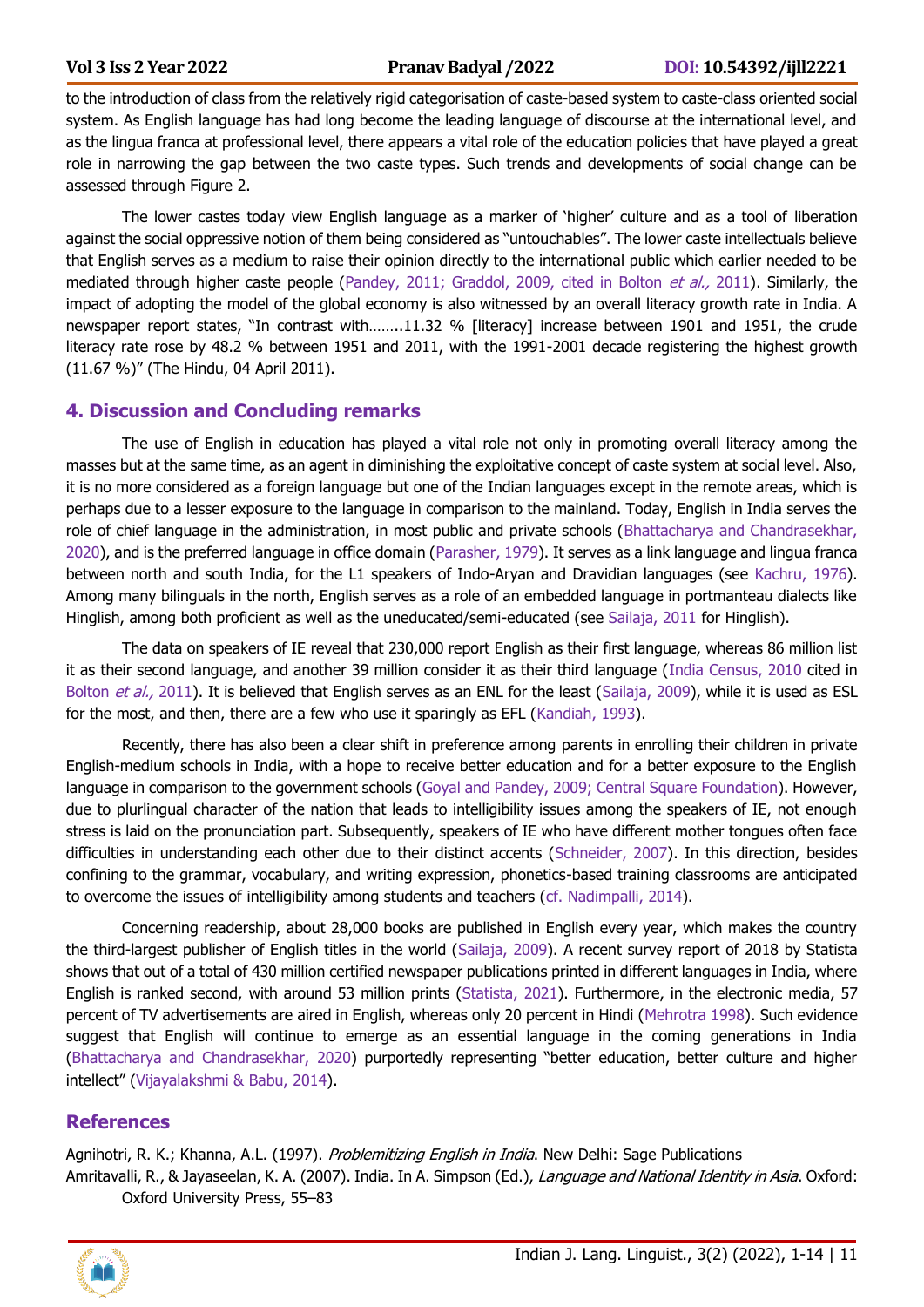to the introduction of class from the relatively rigid categorisation of caste-based system to caste-class oriented social system. As English language has had long become the leading language of discourse at the international level, and as the lingua franca at professional level, there appears a vital role of the education policies that have played a great role in narrowing the gap between the two caste types. Such trends and developments of social change can be assessed through Figure 2.

The lower castes today view English language as a marker of 'higher' culture and as a tool of liberation against the social oppressive notion of them being considered as "untouchables". The lower caste intellectuals believe that English serves as a medium to raise their opinion directly to the international public which earlier needed to be mediated through higher caste people (Pandey, 2011; Graddol, 2009, cited in Bolton et al., 2011). Similarly, the impact of adopting the model of the global economy is also witnessed by an overall literacy growth rate in India. A newspaper report states, "In contrast with……..11.32 % [literacy] increase between 1901 and 1951, the crude literacy rate rose by 48.2 % between 1951 and 2011, with the 1991-2001 decade registering the highest growth (11.67 %)" (The Hindu, 04 April 2011).

# **4. Discussion and Concluding remarks**

The use of English in education has played a vital role not only in promoting overall literacy among the masses but at the same time, as an agent in diminishing the exploitative concept of caste system at social level. Also, it is no more considered as a foreign language but one of the Indian languages except in the remote areas, which is perhaps due to a lesser exposure to the language in comparison to the mainland. Today, English in India serves the role of chief language in the administration, in most public and private schools (Bhattacharya and Chandrasekhar, 2020), and is the preferred language in office domain (Parasher, 1979). It serves as a link language and lingua franca between north and south India, for the L1 speakers of Indo-Aryan and Dravidian languages (see Kachru, 1976). Among many bilinguals in the north, English serves as a role of an embedded language in portmanteau dialects like Hinglish, among both proficient as well as the uneducated/semi-educated (see Sailaja, 2011 for Hinglish).

The data on speakers of IE reveal that 230,000 report English as their first language, whereas 86 million list it as their second language, and another 39 million consider it as their third language (India Census, 2010 cited in Bolton et al., 2011). It is believed that English serves as an ENL for the least (Sailaja, 2009), while it is used as ESL for the most, and then, there are a few who use it sparingly as EFL (Kandiah, 1993).

Recently, there has also been a clear shift in preference among parents in enrolling their children in private English-medium schools in India, with a hope to receive better education and for a better exposure to the English language in comparison to the government schools (Goyal and Pandey, 2009; Central Square Foundation). However, due to plurlingual character of the nation that leads to intelligibility issues among the speakers of IE, not enough stress is laid on the pronunciation part. Subsequently, speakers of IE who have different mother tongues often face difficulties in understanding each other due to their distinct accents (Schneider, 2007). In this direction, besides confining to the grammar, vocabulary, and writing expression, phonetics-based training classrooms are anticipated to overcome the issues of intelligibility among students and teachers (cf. Nadimpalli, 2014).

Concerning readership, about 28,000 books are published in English every year, which makes the country the third-largest publisher of English titles in the world (Sailaja, 2009). A recent survey report of 2018 by Statista shows that out of a total of 430 million certified newspaper publications printed in different languages in India, where English is ranked second, with around 53 million prints (Statista, 2021). Furthermore, in the electronic media, 57 percent of TV advertisements are aired in English, whereas only 20 percent in Hindi (Mehrotra 1998). Such evidence suggest that English will continue to emerge as an essential language in the coming generations in India (Bhattacharya and Chandrasekhar, 2020) purportedly representing "better education, better culture and higher intellect" (Vijayalakshmi & Babu, 2014).

# **References**

Agnihotri, R. K.; Khanna, A.L. (1997). Problemitizing English in India. New Delhi: Sage Publications Amritavalli, R., & Jayaseelan, K. A. (2007). India. In A. Simpson (Ed.), Language and National Identity in Asia. Oxford: Oxford University Press, 55–83

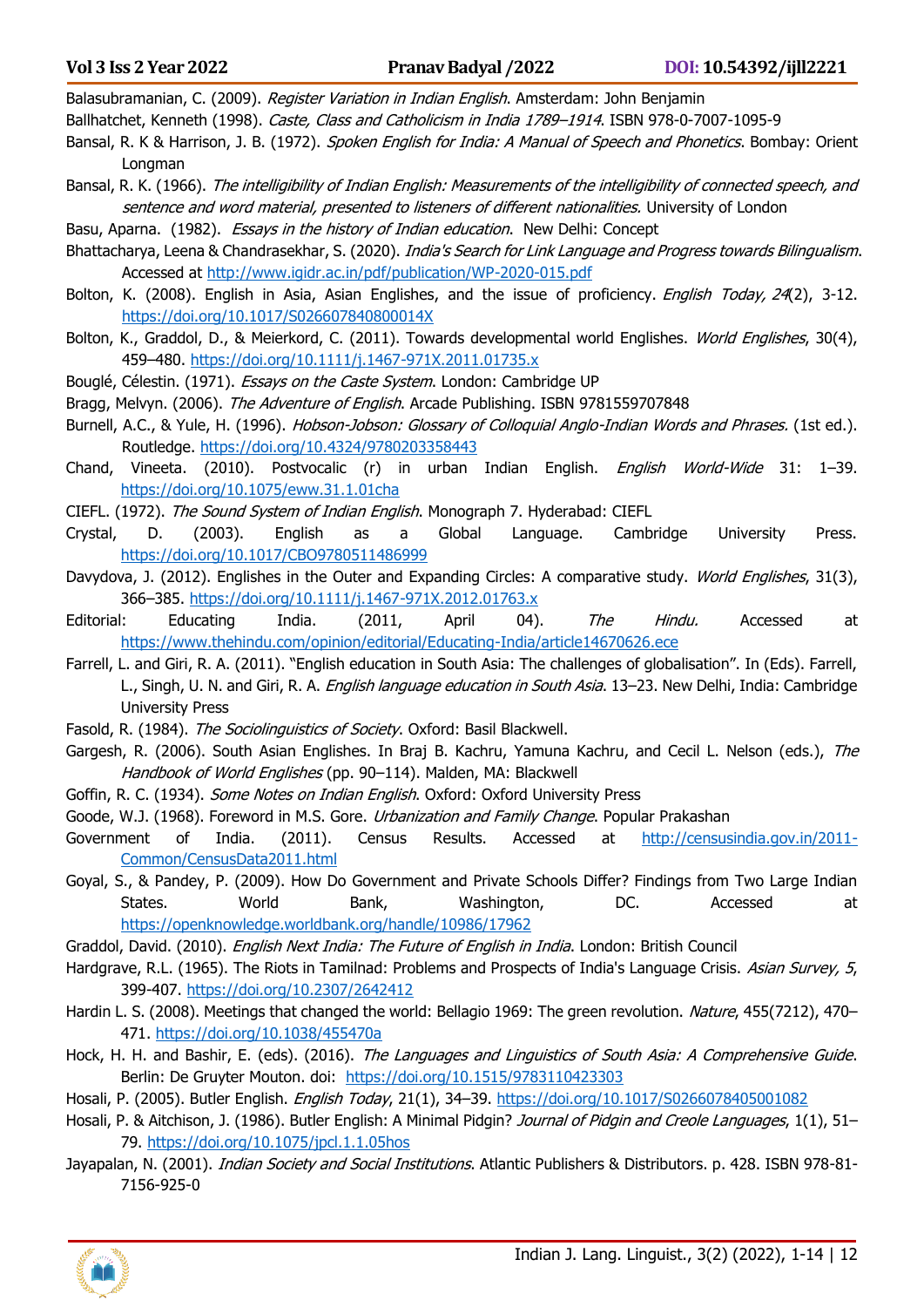Balasubramanian, C. (2009). Register Variation in Indian English. Amsterdam: John Benjamin

Ballhatchet, Kenneth (1998). Caste, Class and Catholicism in India 1789-1914. ISBN 978-0-7007-1095-9

Bansal, R. K & Harrison, J. B. (1972). Spoken English for India: A Manual of Speech and Phonetics. Bombay: Orient Longman

- Bansal, R. K. (1966). The intelligibility of Indian English: Measurements of the intelligibility of connected speech, and sentence and word material, presented to listeners of different nationalities. University of London
- Basu, Aparna. (1982). Essays in the history of Indian education. New Delhi: Concept
- Bhattacharya, Leena & Chandrasekhar, S. (2020). *India's Search for Link Language and Progress towards Bilingualism*. Accessed at<http://www.igidr.ac.in/pdf/publication/WP-2020-015.pdf>
- Bolton, K. (2008). English in Asia, Asian Englishes, and the issue of proficiency. *English Today, 24*(2), 3-12. <https://doi.org/10.1017/S026607840800014X>
- Bolton, K., Graddol, D., & Meierkord, C. (2011). Towards developmental world Englishes. World Englishes, 30(4), 459–480.<https://doi.org/10.1111/j.1467-971X.2011.01735.x>
- Bouglé, Célestin. (1971). Essays on the Caste System. London: Cambridge UP
- Bragg, Melvyn. (2006). The Adventure of English. Arcade Publishing. ISBN 9781559707848
- Burnell, A.C., & Yule, H. (1996). Hobson-Jobson: Glossary of Colloquial Anglo-Indian Words and Phrases. (1st ed.). Routledge.<https://doi.org/10.4324/9780203358443>
- Chand, Vineeta. (2010). Postvocalic (r) in urban Indian English. English World-Wide 31: 1–39. <https://doi.org/10.1075/eww.31.1.01cha>
- CIEFL. (1972). The Sound System of Indian English. Monograph 7. Hyderabad: CIEFL
- Crystal, D. (2003). English as a Global Language. Cambridge University Press. <https://doi.org/10.1017/CBO9780511486999>
- Davydova, J. (2012). Englishes in the Outer and Expanding Circles: A comparative study. World Englishes, 31(3), 366–385.<https://doi.org/10.1111/j.1467-971X.2012.01763.x>
- Editorial: Educating India. (2011, April 04). *The Hindu.* Accessed at <https://www.thehindu.com/opinion/editorial/Educating-India/article14670626.ece>
- Farrell, L. and Giri, R. A. (2011). "English education in South Asia: The challenges of globalisation". In (Eds). Farrell, L., Singh, U. N. and Giri, R. A. *English language education in South Asia*. 13–23. New Delhi, India: Cambridge University Press
- Fasold, R. (1984). The Sociolinguistics of Society. Oxford: Basil Blackwell.
- Gargesh, R. (2006). South Asian Englishes. In Braj B. Kachru, Yamuna Kachru, and Cecil L. Nelson (eds.), The Handbook of World Englishes (pp. 90-114). Malden, MA: Blackwell
- Goffin, R. C. (1934). Some Notes on Indian English. Oxford: Oxford University Press
- Goode, W.J. (1968). Foreword in M.S. Gore. Urbanization and Family Change. Popular Prakashan
- Government of India. (2011). Census Results. Accessed at [http://censusindia.gov.in/2011-](http://censusindia.gov.in/2011-Common/CensusData2011.html) [Common/CensusData2011.html](http://censusindia.gov.in/2011-Common/CensusData2011.html)
- Goyal, S., & Pandey, P. (2009). How Do Government and Private Schools Differ? Findings from Two Large Indian States. World Bank, Washington, DC. Accessed at <https://openknowledge.worldbank.org/handle/10986/17962>
- Graddol, David. (2010). English Next India: The Future of English in India. London: British Council
- Hardgrave, R.L. (1965). The Riots in Tamilnad: Problems and Prospects of India's Language Crisis. Asian Survey, 5, 399-407.<https://doi.org/10.2307/2642412>
- Hardin L. S. (2008). Meetings that changed the world: Bellagio 1969: The green revolution. Nature, 455(7212), 470– 471.<https://doi.org/10.1038/455470a>
- Hock, H. H. and Bashir, E. (eds). (2016). The Languages and Linguistics of South Asia: A Comprehensive Guide. Berlin: De Gruyter Mouton. doi: <https://doi.org/10.1515/9783110423303>
- Hosali, P. (2005). Butler English. English Today, 21(1), 34–39.<https://doi.org/10.1017/S0266078405001082>
- Hosali, P. & Aitchison, J. (1986). Butler English: A Minimal Pidgin? Journal of Pidgin and Creole Languages, 1(1), 51-79.<https://doi.org/10.1075/jpcl.1.1.05hos>
- Jayapalan, N. (2001). *Indian Society and Social Institutions*. Atlantic Publishers & Distributors. p. 428. ISBN 978-81-7156-925-0

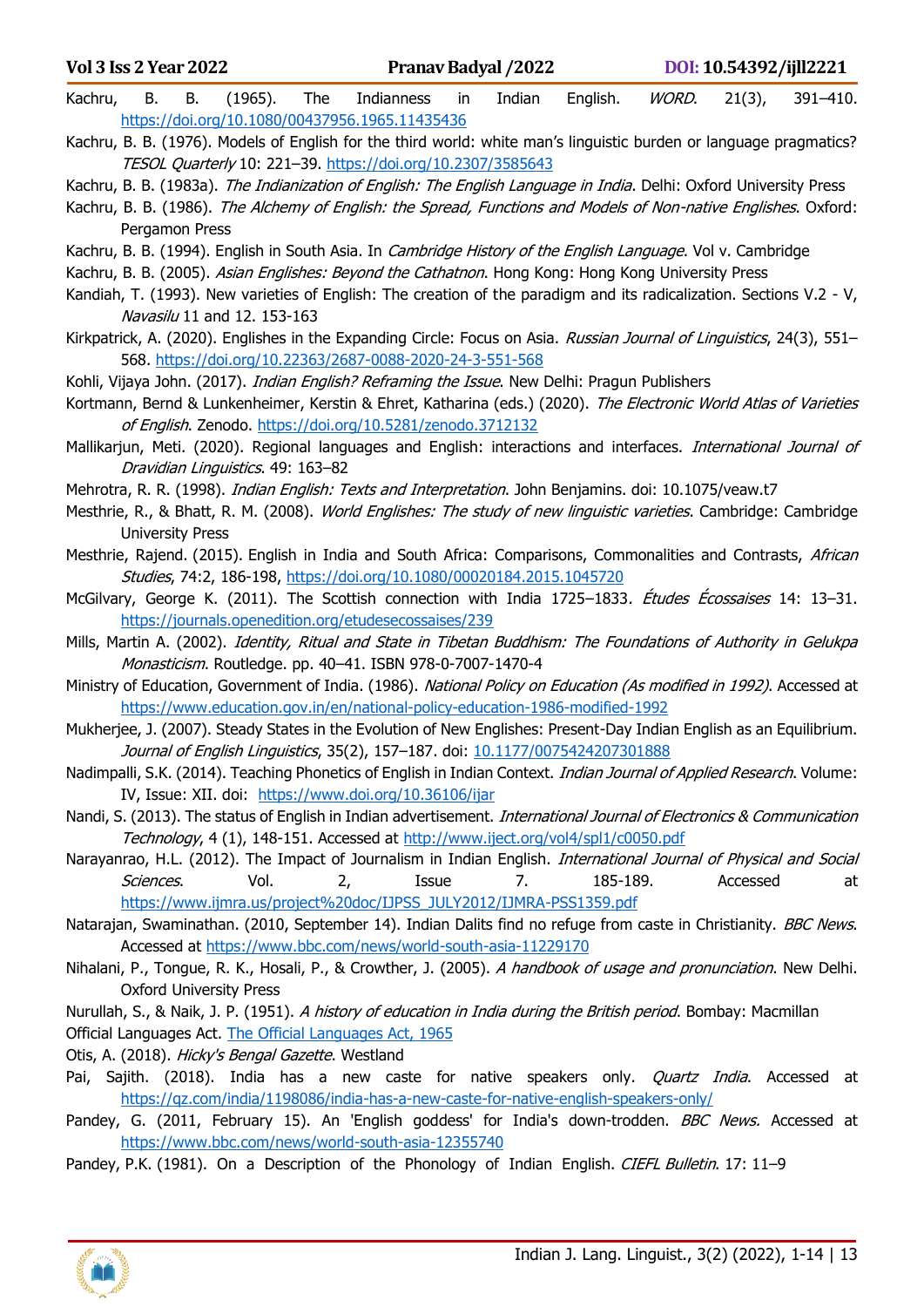- Kachru, B. B. (1965). The Indianness in Indian English. *WORD*. 21(3), 391–410. <https://doi.org/10.1080/00437956.1965.11435436>
- Kachru, B. B. (1976). Models of English for the third world: white man's linguistic burden or language pragmatics? TESOL Quarterly 10: 221–39.<https://doi.org/10.2307/3585643>
- Kachru, B. B. (1983a). The Indianization of English: The English Language in India. Delhi: Oxford University Press
- Kachru, B. B. (1986). The Alchemy of English: the Spread, Functions and Models of Non-native Englishes. Oxford: Pergamon Press
- Kachru, B. B. (1994). English in South Asia. In *Cambridge History of the English Language*. Vol v. Cambridge
- Kachru, B. B. (2005). Asian Englishes: Beyond the Cathatnon. Hong Kong: Hong Kong University Press
- Kandiah, T. (1993). New varieties of English: The creation of the paradigm and its radicalization. Sections V.2 V, Navasilu 11 and 12. 153-163
- Kirkpatrick, A. (2020). Englishes in the Expanding Circle: Focus on Asia. Russian Journal of Linguistics, 24(3), 551-568.<https://doi.org/10.22363/2687-0088-2020-24-3-551-568>
- Kohli, Vijaya John. (2017). *Indian English? Reframing the Issue*. New Delhi: Pragun Publishers
- Kortmann, Bernd & Lunkenheimer, Kerstin & Ehret, Katharina (eds.) (2020). The Electronic World Atlas of Varieties of English. Zenodo.<https://doi.org/10.5281/zenodo.3712132>
- Mallikarjun, Meti. (2020). Regional languages and English: interactions and interfaces. International Journal of Dravidian Linguistics. 49: 163–82
- Mehrotra, R. R. (1998). *Indian English: Texts and Interpretation*. John Benjamins. doi: 10.1075/veaw.t7
- Mesthrie, R., & Bhatt, R. M. (2008). World Englishes: The study of new linguistic varieties. Cambridge: Cambridge University Press
- Mesthrie, Rajend. (2015). English in India and South Africa: Comparisons, Commonalities and Contrasts, African Studies, 74:2, 186-198, <https://doi.org/10.1080/00020184.2015.1045720>
- McGilvary, George K. (2011). The Scottish connection with India 1725-1833. Études Écossaises 14: 13-31. <https://journals.openedition.org/etudesecossaises/239>
- Mills, Martin A. (2002). Identity, Ritual and State in Tibetan Buddhism: The Foundations of Authority in Gelukpa Monasticism. Routledge. pp. 40–41. ISBN 978-0-7007-1470-4
- Ministry of Education, Government of India. (1986). National Policy on Education (As modified in 1992). Accessed at <https://www.education.gov.in/en/national-policy-education-1986-modified-1992>
- Mukherjee, J. (2007). Steady States in the Evolution of New Englishes: Present-Day Indian English as an Equilibrium. Journal of English Linguistics, 35(2), 157-187. doi: [10.1177/0075424207301888](https://doi.org/10.1177/0075424207301888)
- Nadimpalli, S.K. (2014). Teaching Phonetics of English in Indian Context. *Indian Journal of Applied Research*. Volume: IV, Issue: XII. doi: <https://www.doi.org/10.36106/ijar>
- Nandi, S. (2013). The status of English in Indian advertisement. International Journal of Electronics & Communication Technology, 4 (1), 148-151. Accessed at<http://www.iject.org/vol4/spl1/c0050.pdf>
- Narayanrao, H.L. (2012). The Impact of Journalism in Indian English. International Journal of Physical and Social Sciences. Vol. 2, Issue 7. 185-189. Accessed at [https://www.ijmra.us/project%20doc/IJPSS\\_JULY2012/IJMRA-PSS1359.pdf](https://www.ijmra.us/project%20doc/IJPSS_JULY2012/IJMRA-PSS1359.pdf)
- Natarajan, Swaminathan. (2010, September 14). Indian Dalits find no refuge from caste in Christianity. BBC News. Accessed at<https://www.bbc.com/news/world-south-asia-11229170>
- Nihalani, P., Tongue, R. K., Hosali, P., & Crowther, J. (2005). A handbook of usage and pronunciation. New Delhi. Oxford University Press
- Nurullah, S., & Naik, J. P. (1951). A history of education in India during the British period. Bombay: Macmillan
- Official Languages Act. [The Official Languages Act, 1965](https://www.meity.gov.in/content/official-language-act)
- Otis, A. (2018). Hicky's Bengal Gazette. Westland
- Pai, Sajith. (2018). India has a new caste for native speakers only. *Quartz India*. Accessed at <https://qz.com/india/1198086/india-has-a-new-caste-for-native-english-speakers-only/>
- Pandey, G. (2011, February 15). An 'English goddess' for India's down-trodden. BBC News. Accessed at <https://www.bbc.com/news/world-south-asia-12355740>
- Pandey, P.K. (1981). On a Description of the Phonology of Indian English. CIEFL Bulletin. 17: 11-9